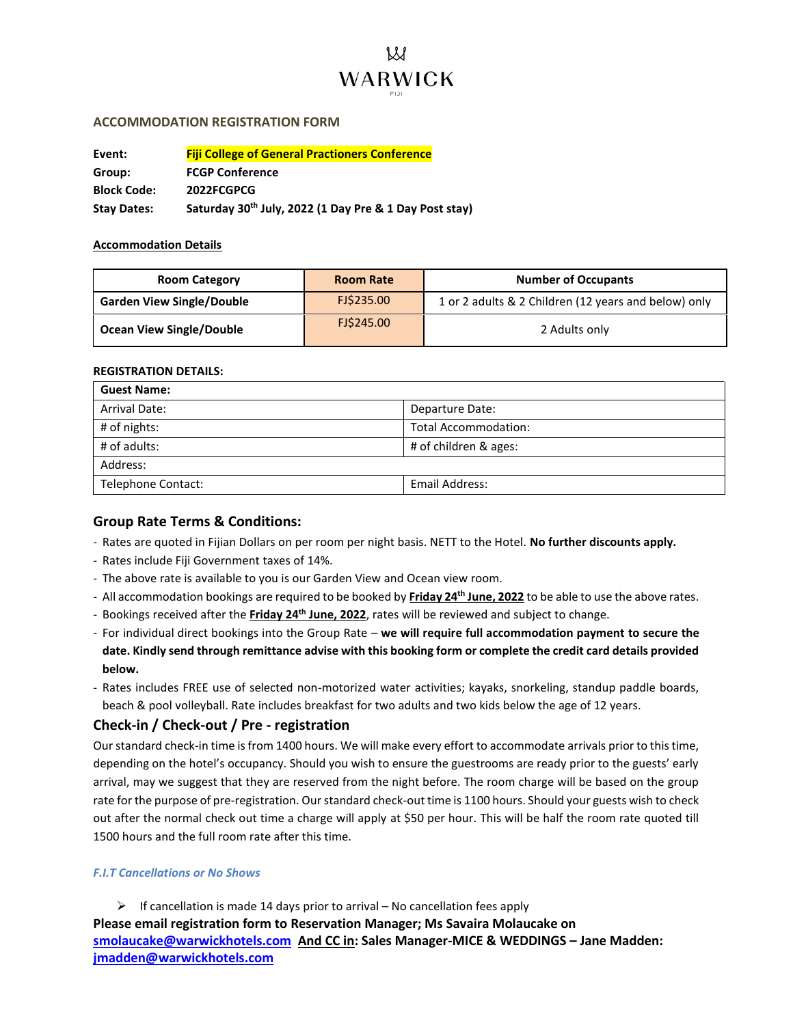

# **ACCOMMODATION REGISTRATION FORM**

| Event:             | <b>Fiji College of General Practioners Conference</b>  |
|--------------------|--------------------------------------------------------|
| Group:             | <b>FCGP Conference</b>                                 |
| <b>Block Code:</b> | 2022FCGPCG                                             |
| <b>Stay Dates:</b> | Saturday 30th July, 2022 (1 Day Pre & 1 Day Post stay) |

## **Accommodation Details**

| <b>Room Category</b>             | <b>Room Rate</b> | <b>Number of Occupants</b>                           |
|----------------------------------|------------------|------------------------------------------------------|
| <b>Garden View Single/Double</b> | FJ\$235.00       | 1 or 2 adults & 2 Children (12 years and below) only |
| Ocean View Single/Double         | FJ\$245.00       | 2 Adults only                                        |

## **REGISTRATION DETAILS:**

| <b>Guest Name:</b>   |                             |
|----------------------|-----------------------------|
| <b>Arrival Date:</b> | Departure Date:             |
| # of nights:         | <b>Total Accommodation:</b> |
| $#$ of adults:       | # of children & ages:       |
| Address:             |                             |
| Telephone Contact:   | Email Address:              |

# **Group Rate Terms & Conditions:**

- Rates are quoted in Fijian Dollars on per room per night basis. NETT to the Hotel. **No further discounts apply.**
- Rates include Fiji Government taxes of 14%.
- The above rate is available to you is our Garden View and Ocean view room.
- All accommodation bookings are required to be booked by **Friday 24th June, 2022** to be able to use the above rates.
- Bookings received after the **Friday 24th June, 2022**, rates will be reviewed and subject to change.
- For individual direct bookings into the Group Rate **we will require full accommodation payment to secure the date. Kindly send through remittance advise with this booking form or complete the credit card details provided below.**
- Rates includes FREE use of selected non-motorized water activities; kayaks, snorkeling, standup paddle boards, beach & pool volleyball. Rate includes breakfast for two adults and two kids below the age of 12 years.

# **Check-in / Check-out / Pre - registration**

Our standard check-in time is from 1400 hours. We will make every effort to accommodate arrivals prior to this time, depending on the hotel's occupancy. Should you wish to ensure the guestrooms are ready prior to the guests' early arrival, may we suggest that they are reserved from the night before. The room charge will be based on the group rate for the purpose of pre-registration. Our standard check-out time is 1100 hours. Should your guests wish to check out after the normal check out time a charge will apply at \$50 per hour. This will be half the room rate quoted till 1500 hours and the full room rate after this time.

## *F.I.T Cancellations or No Shows*

 $\triangleright$  If cancellation is made 14 days prior to arrival – No cancellation fees apply

**Please email registration form to Reservation Manager; Ms Savaira Molaucake on [smolaucake@warwickhotels.com](mailto:smolaucake@warwickhotels.com) And CC in: Sales Manager-MICE & WEDDINGS – Jane Madden: [jmadden@warwickhotels.com](mailto:jmadden@warwickhotels.com)**